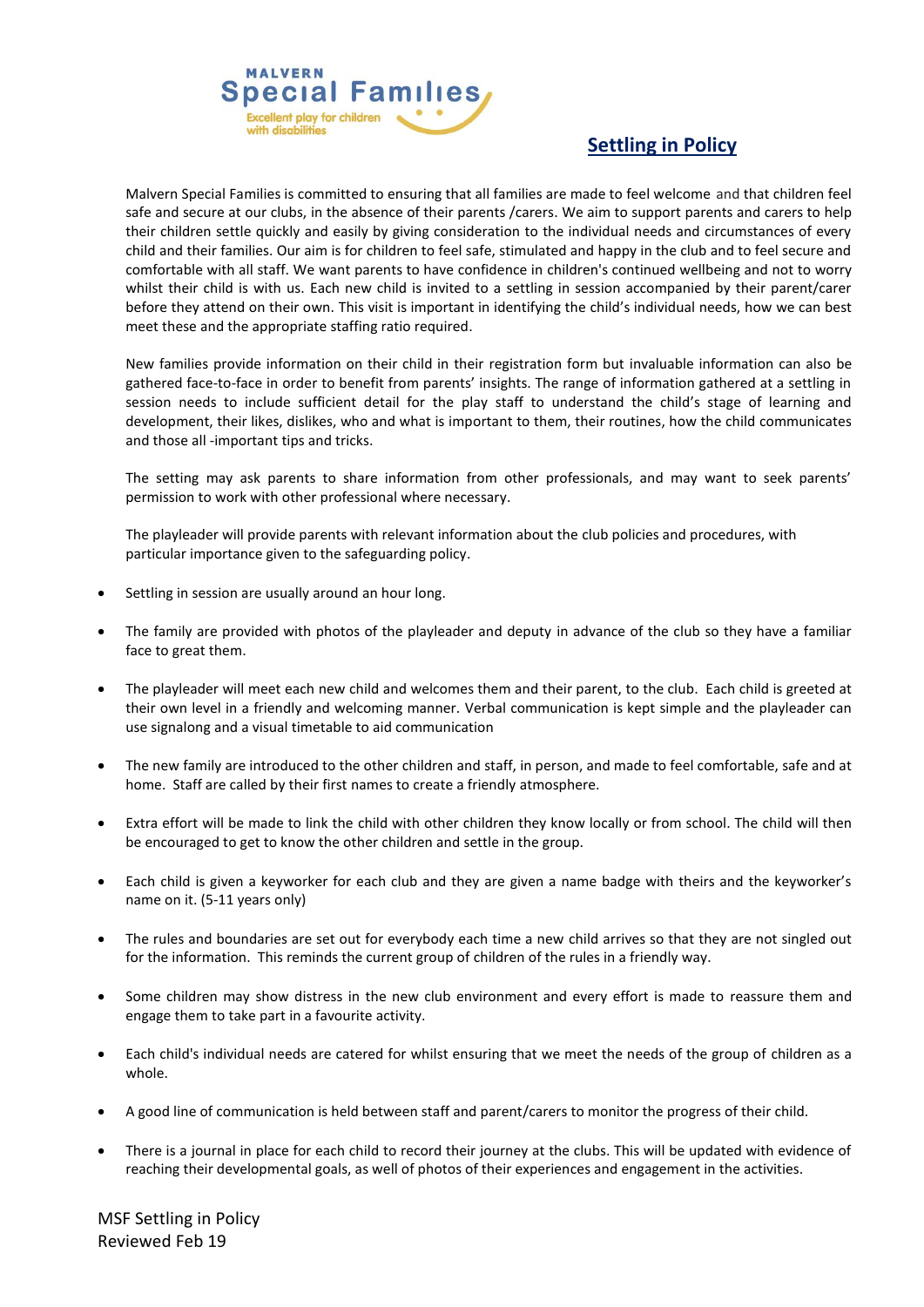

## **Settling in Policy**

Malvern Special Families is committed to ensuring that all families are made to feel welcome and that children feel safe and secure at our clubs, in the absence of their parents /carers. We aim to support parents and carers to help their children settle quickly and easily by giving consideration to the individual needs and circumstances of every child and their families. Our aim is for children to feel safe, stimulated and happy in the club and to feel secure and comfortable with all staff. We want parents to have confidence in children's continued wellbeing and not to worry whilst their child is with us. Each new child is invited to a settling in session accompanied by their parent/carer before they attend on their own. This visit is important in identifying the child's individual needs, how we can best meet these and the appropriate staffing ratio required.

New families provide information on their child in their registration form but invaluable information can also be gathered face-to-face in order to benefit from parents' insights. The range of information gathered at a settling in session needs to include sufficient detail for the play staff to understand the child's stage of learning and development, their likes, dislikes, who and what is important to them, their routines, how the child communicates and those all -important tips and tricks.

The setting may ask parents to share information from other professionals, and may want to seek parents' permission to work with other professional where necessary.

The playleader will provide parents with relevant information about the club policies and procedures, with particular importance given to the safeguarding policy.

- Settling in session are usually around an hour long.
- The family are provided with photos of the playleader and deputy in advance of the club so they have a familiar face to great them.
- The playleader will meet each new child and welcomes them and their parent, to the club. Each child is greeted at their own level in a friendly and welcoming manner. Verbal communication is kept simple and the playleader can use signalong and a visual timetable to aid communication
- The new family are introduced to the other children and staff, in person, and made to feel comfortable, safe and at home. Staff are called by their first names to create a friendly atmosphere.
- Extra effort will be made to link the child with other children they know locally or from school. The child will then be encouraged to get to know the other children and settle in the group.
- Each child is given a keyworker for each club and they are given a name badge with theirs and the keyworker's name on it. (5-11 years only)
- The rules and boundaries are set out for everybody each time a new child arrives so that they are not singled out for the information. This reminds the current group of children of the rules in a friendly way.
- Some children may show distress in the new club environment and every effort is made to reassure them and engage them to take part in a favourite activity.
- Each child's individual needs are catered for whilst ensuring that we meet the needs of the group of children as a whole.
- A good line of communication is held between staff and parent/carers to monitor the progress of their child.
- There is a journal in place for each child to record their journey at the clubs. This will be updated with evidence of reaching their developmental goals, as well of photos of their experiences and engagement in the activities.